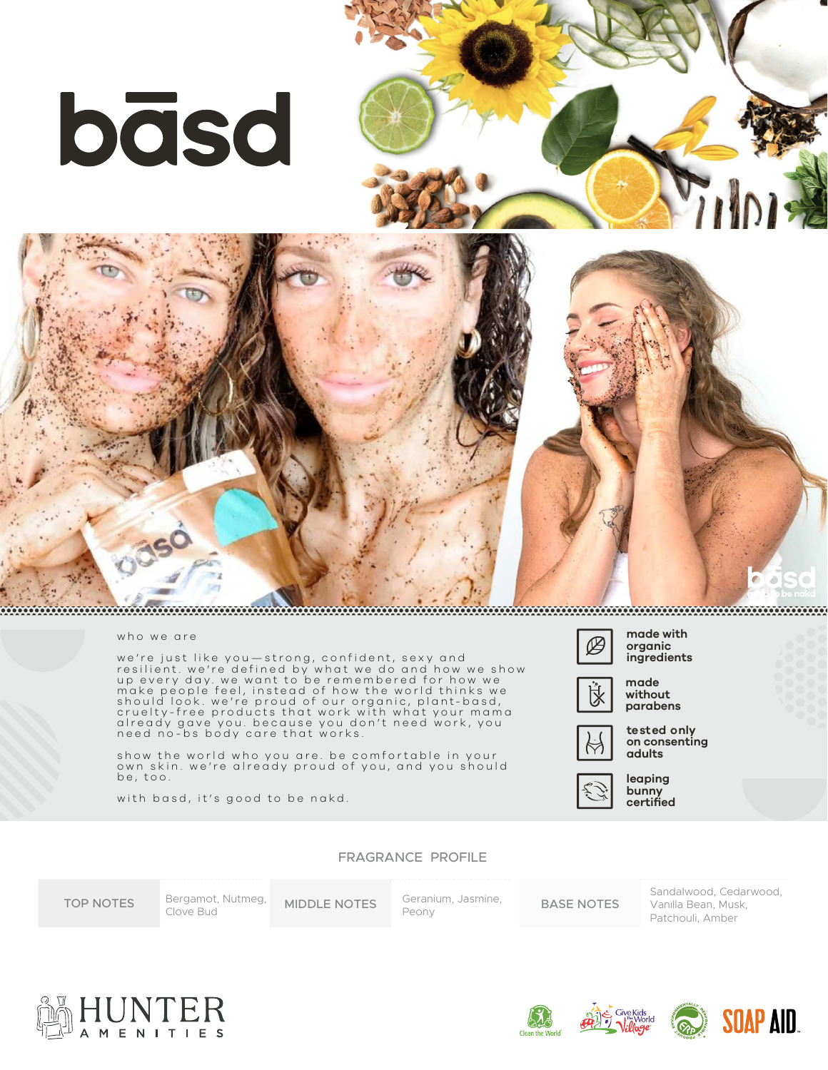





## who we are

we're just like you—strong, confident, sexy and resilient. we're defined by what we do and how we show up every day. we want to be remembered for how we make people feel, instead of how the world thinks we should look. we're proud of our organic, plant-basd, cruelty-free products that work with what your mama already gave you. because you don't need work, you need no-bs body care that works.

show the world who you are. be comfortable in your own skin. we're already proud of you, and you should be, too.

with basd, it's good to be nakd.



**organic ingredients**



**made without parabens**

**tested only on consenting adults**



**leaping bunny certified**

FRAGRANCE PROFILE

TOP NOTES Bergamot, Nutmeg, MIDDLE NOTES Geranium, Jasmine, BASE NOTES Bergamot, Nutmeg, Clove Bud

Peony

Sandalwood, Cedarwood, Vanilla Bean, Musk, Patchouli, Amber